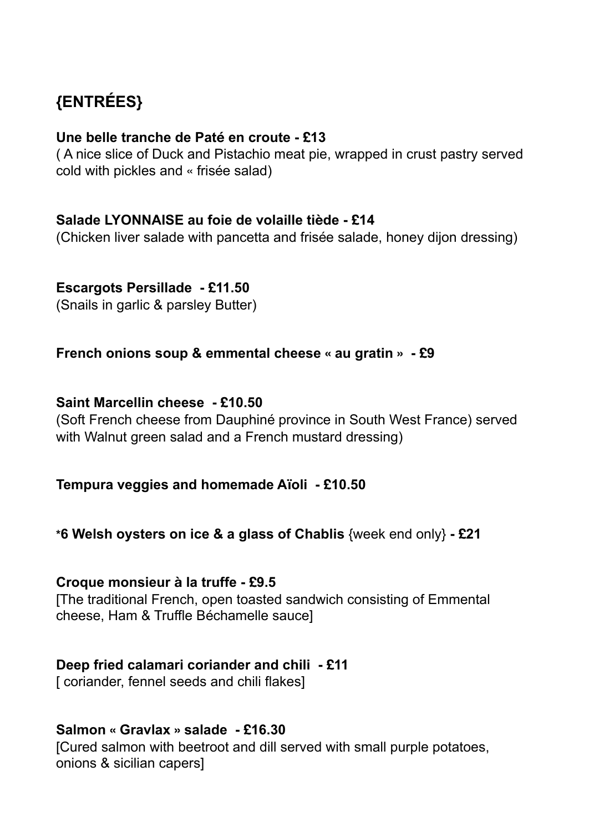# **{ENTRÉES}**

## **Une belle tranche de Paté en croute - £13**

( A nice slice of Duck and Pistachio meat pie, wrapped in crust pastry served cold with pickles and « frisée salad)

## **Salade LYONNAISE au foie de volaille tiède - £14**

(Chicken liver salade with pancetta and frisée salade, honey dijon dressing)

## **Escargots Persillade - £11.50**

(Snails in garlic & parsley Butter)

## **French onions soup & emmental cheese « au gratin » - £9**

## **Saint Marcellin cheese - £10.50**

(Soft French cheese from Dauphiné province in South West France) served with Walnut green salad and a French mustard dressing)

## **Tempura veggies and homemade Aïoli - £10.50**

**\*6 Welsh oysters on ice & a glass of Chablis** {week end only} **- £21**

### **Croque monsieur à la truffe - £9.5**

[The traditional French, open toasted sandwich consisting of Emmental cheese, Ham & Truffle Béchamelle sauce]

## **Deep fried calamari coriander and chili - £11**

[ coriander, fennel seeds and chili flakes]

## **Salmon « Gravlax » salade - £16.30**

[Cured salmon with beetroot and dill served with small purple potatoes, onions & sicilian capers]